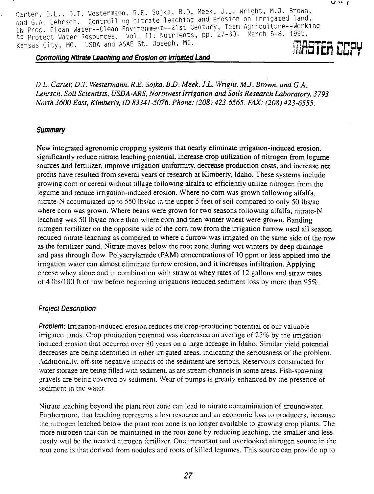Carter, D.L.. D.T. Westermann. R.E. Sojka, B.D. Meek, J.L. Wright, M.J. Brown, and G.A. Lehrsch. Controlling nitrate leaching and erosion on irri gated land. IN Proc. Clean Water--Clean Environment--21st Century, Team Agricul ture--Working to Protect Water Resources. Vol. II: Nutrients, pp. 27-30. March 5-8, 1995, Kansas City, MO. USDA and ASAE St. Joseph, MI. **TIPSTEfi CCFY**

#### **Controlling Nitrate Leaching and Erosion on Irrigated Land**

*D.L. Carter, D.T. Westermann, R.E. Sojka, B.D. Meek, J.L. Wright, MJ. Brown, and GA. Lehrsch, Soil Scientists, USDA-ARS, Northwest Irrigation and Soils Research Laboratory, 3793 North 3600 East, Kimberly, ID 83341-5076. Phone: (208) 423-6565. FAX: (208) 423-6555 .*

#### **Summary**

New integrated agronomic cropping systems that nearly eliminate irrigation-induced erosion, significantly reduce *nitrate* leaching potential, increase crop utilization of nitrogen from legume sources and fertilizer, improve irrigation uniformity, decrease production costs, and increase net profits have resulted from several years of research at Kimberly, Idaho. These systems include growing corn or cereal without tillage following alfalfa to efficiently utilize nitrogen from the legume and reduce irrigation-induced erosion. Where no corn was grown following alfalfa, nitrate-N accumulated up to 550 lbs/ac in the upper 5 feet of soil compared to only 50 lbs/ac where corn was grown. Where beans were grown for two seasons following alfalfa, nitrate-N leaching was 50 lbs/ac more than where corn and then winter wheat were grown. Banding nitrogen fertilizer on the opposite side of the corn row from the irrigation furrow used all season reduced nitrate leaching as compared to where a furrow was irrigated on the same side of the row as the fertilizer band. Nitrate moves below the root zone during wet winters by deep drainage and pass through flow. Polyacrylamide (PAM) concentrations of 10 ppm or less applied into the irrigation water can almost eliminate furrow erosion, and it increases infiltration. Applying cheese whey alone and in combination with straw at whey rates of 12 gallons and straw rates of 4 lbs/100 ft of row before beginning irrigations reduced sediment loss by more than  $95\%$ .

### **Project Description**

**Problem:** Irrigation-induced erosion reduces the crop-producing potential of our valuable irrigated lands. Crop production potential was decreased an average of 25% by the irrigationinduced erosion that occurred over 80 years on a large acreage in Idaho. Similar yield potential decreases are being identified in other irrigated areas, indicating the seriousness of the problem. Additionally, off-site negative impacts of the sediment are serious. Reservoirs constructed for water storage are being filled with sediment, as are stream channels in some areas. Fish-spawning gravels are being covered bv sediment. Wear of pumps is greatly enhanced by the presence of sediment in the water.

Nitrate leaching beyond the plant root zone can lead to nitrate contamination of groundwater. Furthermore, that leaching represents a lost resource and an economic loss to producers, because the nitrogen leached below the plant root zone is no longer available to growing crop plants. The more nitrogen that can be maintained in the root zone by reducing leaching, the smaller and less costly will be the needed nitrogen fertilizer. One important and overlooked nitrogen source in the root zone is that derived from nodules and roots of killed legumes. This source can provide up to

 $U$   $U$   $I$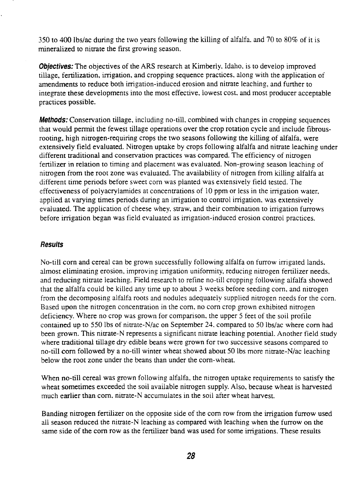350 to 400 lbs/ac during the two years following the killing of alfalfa, and 70 to 80% of it is mineralized to nitrate the first growing season.

**Objectives:** The objectives of the ARS research at Kimberly, Idaho, is to develop improved tillage, fertilization, irrigation, and cropping sequence practices, along with the application of amendments to reduce both irrigation-induced erosion and nitrate leaching, and further to integrate these developments into the most effective, lowest cost, and most producer acceptable practices possible.

**Methods:** Conservation tillage, including no-till, combined with changes in cropping sequences that would permit the fewest tillage operations over the crop rotation cycle and include fibrousrooting, high nitrogen-requiring crops the two seasons following the killing of alfalfa, were extensively field evaluated. Nitrogen uptake by crops following alfalfa and nitrate leaching under different traditional and conservation practices was compared. The efficiency of nitrogen fertilizer in relation to timing and placement was evaluated. Non-growing season leaching of nitrogen from the root zone was evaluated. The availability of nitrogen from killing alfalfa at different time periods before sweet corn was planted was extensively field tested. The effectiveness of polyacrylamides at concentrations of 10 ppm or less in the irrigation water, applied at varying times periods during an irrigation to control irrigation, was extensively evaluated. The application of cheese whey, straw, and their combination to irrigation furrows before irrigation began was field evaluated as irrigation-induced erosion control practices.

### **Results**

No-till corn and cereal can be grown successfully following alfalfa on furrow irrigated lands. almost eliminating erosion, improving irrigation uniformity, reducing nitrogen fertilizer needs, and reducing nitrate leaching. Field research to refine no-till cropping following alfalfa showed that the alfalfa could be killed any time up to about 3 weeks before seeding corn, and nitrogen from the decomposing alfalfa roots and nodules adequately supplied nitrogen needs for the corn. Based upon the nitrogen concentration in the corn, no corn crop grown exhibited nitrogen deficiency. Where no crop was grown for comparison, the upper 5 feet of the soil profile contained up to 550 lbs of nitrate-N/ac on September 24. compared to 50 lbs/ac where corn had been grown. This nitrate-N represents a significant nitrate leaching potential. Another field study where traditional tillage dry edible beans were grown for two successive seasons compared to no-till corn followed by a no-till winter wheat showed about 50 lbs more nitrate-N/ac leaching below the root zone under the beans than under the corn-wheat.

When no-till cereal was grown following alfalfa, the nitrogen uptake requirements to satisfy the wheat sometimes exceeded the soil available nitrogen supply. Also, because wheat is harvested much earlier than corn, nitrate-N accumulates in the soil after wheat harvest.

Banding nitrogen fertilizer on the opposite side of the corn row from the irrigation furrow used all season reduced the nitrate-N leaching as compared with leaching when the furrow on the same side of the corn row as the fertilizer band was used for some irrigations. These results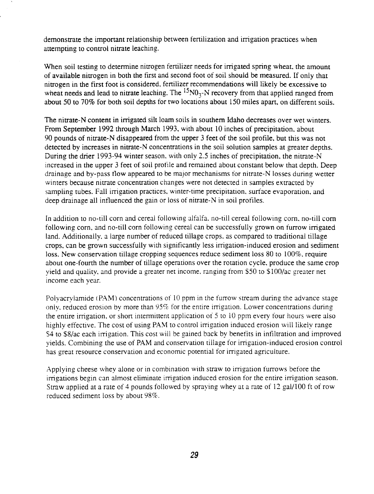demonstrate the important relationship between fertilization and irrigation practices when attempting to control nitrate leaching.

When soil testing to determine nitrogen fertilizer needs for irrigated spring wheat, the amount of available nitrogen in both the first and second foot of soil should be measured. If only that nitrogen in the first foot is considered, fertilizer recommendations will likely be excessive to wheat needs and lead to nitrate leaching. The  ${}^{15}N0_3$ -N recovery from that applied ranged from about 50 to 70% for both soil depths for two locations about 150 miles apart, on different soils.

The nitrate-N content in irrigated silt loam soils in southern Idaho decreases over wet winters. From September 1992 through March 1993, with about 10 inches of precipitation, about 90 pounds of nitrate-N disappeared from the upper 3 feet of the soil profile, but this was not detected by increases in nitrate-N concentrations in the soil solution samples at greater depths. During the drier 1993-94 winter season, with only 2.5 inches of precipitation, the nitrate-N increased in the upper 3 feet of soil profile and remained about constant below that depth. Deep drainage and by-pass flow appeared to be major mechanisms for nitrate-N losses during wetter winters because nitrate concentration changes were not detected in samples extracted by sampling tubes. Fall irrigation practices, winter-time precipitation, surface evaporation, and deep drainage all influenced the gain or loss of nitrate-N in soil profiles.

In addition to no-till corn and cereal following alfalfa, no-till cereal following corn, no-till corn following corn, and no-till corn following cereal can be successfully grown on furrow irrigated land. Additionally, a large number of reduced tillage crops, as compared to traditional tillage crops, can be grown successfully with significantly less irrigation-induced erosion and sediment loss. New conservation tillage cropping sequences reduce sediment loss  $80$  to  $100\%$ , require about one-fourth the number of tillage operations over the rotation cycle, produce the same crop yield and quality, and provide a greater net income, ranging from \$50 to \$100/ac greater net income each year.

Polyacrylamide (PAM) concentrations of 10 ppm in the furrow stream during the advance stage only, reduced erosion by more than  $95\%$  for the entire irrigation. Lower concentrations during the entire irrigation, or short intermittent application of 5 to 10 ppm every four hours were also highly effective. The cost of using PAM to control irrigation induced erosion will likely range \$4 to \$8/ac each irrigation. This cost will be gained back by benefits in infiltration and improved yields. Combining the use of PAM and conservation tillage for irrigation-induced erosion control has great resource conservation and economic potential for irrigated agriculture.

Applying cheese whey alone or in combination with straw to irrigation furrows before the irrigations begin can almost eliminate irrigation induced erosion for the entire irrigation season. Straw applied at a rate of 4 pounds followed by spraying whey at a rate of 12 ga1/100 ft of row reduced sediment loss by about 98%.